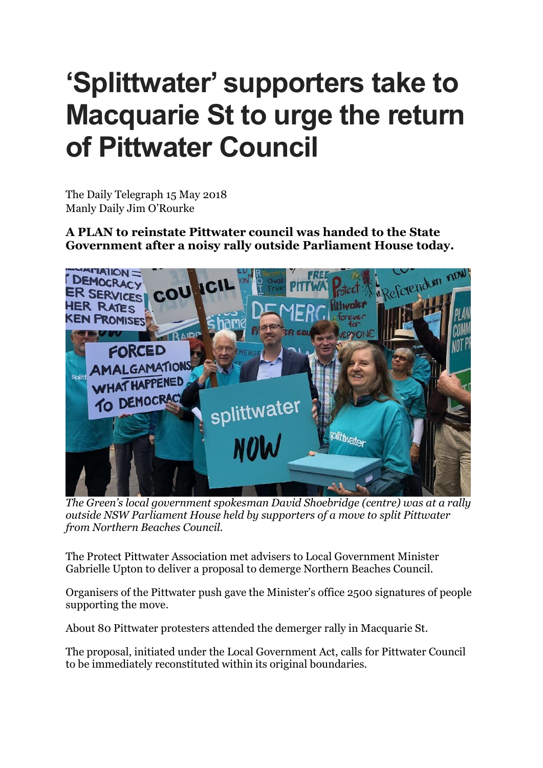## **'Splittwater' supporters take to Macquarie St to urge the return of Pittwater Council**

The Daily Telegraph 15 May 2018 Manly Daily Jim O'Rourke

**A PLAN to reinstate Pittwater council was handed to the State Government after a noisy rally outside Parliament House today.**



*The Green's local government spokesman David Shoebridge (centre) was at a rally outside NSW Parliament House held by supporters of a move to split Pittwater from Northern Beaches Council.*

The Protect Pittwater Association met advisers to Local Government Minister Gabrielle Upton to deliver a proposal to demerge Northern Beaches Council.

Organisers of the Pittwater push gave the Minister's office 2500 signatures of people supporting the move.

About 80 Pittwater protesters attended the demerger rally in Macquarie St.

The proposal, initiated under the Local Government Act, calls for Pittwater Council to be immediately reconstituted within its original boundaries.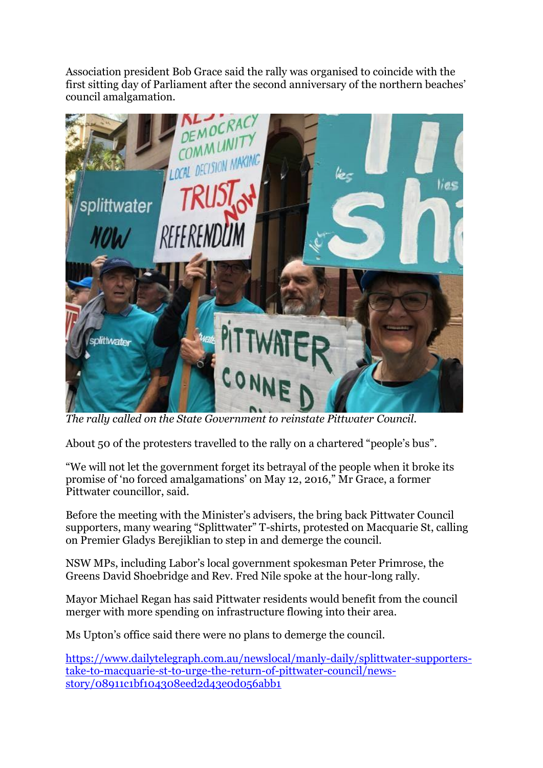Association president Bob Grace said the rally was organised to coincide with the first sitting day of Parliament after the second anniversary of the northern beaches' council amalgamation.



*The rally called on the State Government to reinstate Pittwater Council.*

About 50 of the protesters travelled to the rally on a chartered "people's bus".

"We will not let the government forget its betrayal of the people when it broke its promise of 'no forced amalgamations' on May 12, 2016," Mr Grace, a former Pittwater councillor, said.

Before the meeting with the Minister's advisers, the bring back Pittwater Council supporters, many wearing "Splittwater" T-shirts, protested on Macquarie St, calling on Premier Gladys Berejiklian to step in and demerge the council.

NSW MPs, including Labor's local government spokesman Peter Primrose, the Greens David Shoebridge and Rev. Fred Nile spoke at the hour-long rally.

Mayor Michael Regan has said Pittwater residents would benefit from the council merger with more spending on infrastructure flowing into their area.

Ms Upton's office said there were no plans to demerge the council.

[https://www.dailytelegraph.com.au/newslocal/manly-daily/splittwater-supporters](https://www.dailytelegraph.com.au/newslocal/manly-daily/splittwater-supporters-take-to-macquarie-st-to-urge-the-return-of-pittwater-council/news-story/08911c1bf104308eed2d43e0d056abb1)[take-to-macquarie-st-to-urge-the-return-of-pittwater-council/news](https://www.dailytelegraph.com.au/newslocal/manly-daily/splittwater-supporters-take-to-macquarie-st-to-urge-the-return-of-pittwater-council/news-story/08911c1bf104308eed2d43e0d056abb1)[story/08911c1bf104308eed2d43e0d056abb1](https://www.dailytelegraph.com.au/newslocal/manly-daily/splittwater-supporters-take-to-macquarie-st-to-urge-the-return-of-pittwater-council/news-story/08911c1bf104308eed2d43e0d056abb1)